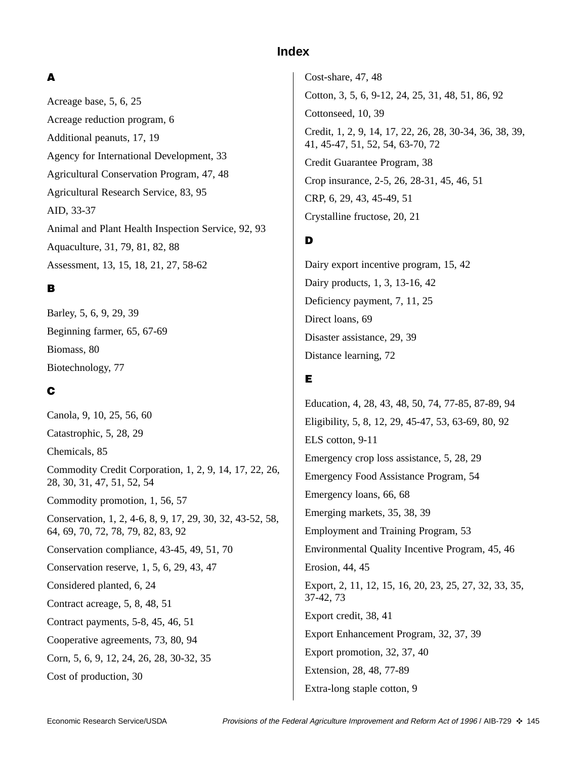## **Index**

### **A**

Acreage base, 5, 6, 25 Acreage reduction program, 6 Additional peanuts, 17, 19 Agency for International Development, 33 Agricultural Conservation Program, 47, 48 Agricultural Research Service, 83, 95 AID, 33-37 Animal and Plant Health Inspection Service, 92, 93 Aquaculture, 31, 79, 81, 82, 88 Assessment, 13, 15, 18, 21, 27, 58-62

### **B**

Barley, 5, 6, 9, 29, 39 Beginning farmer, 65, 67-69 Biomass, 80 Biotechnology, 77

### **C**

Canola, 9, 10, 25, 56, 60 Catastrophic, 5, 28, 29 Chemicals, 85 Commodity Credit Corporation, 1, 2, 9, 14, 17, 22, 26, 28, 30, 31, 47, 51, 52, 54 Commodity promotion, 1, 56, 57 Conservation, 1, 2, 4-6, 8, 9, 17, 29, 30, 32, 43-52, 58, 64, 69, 70, 72, 78, 79, 82, 83, 92 Conservation compliance, 43-45, 49, 51, 70 Conservation reserve, 1, 5, 6, 29, 43, 47 Considered planted, 6, 24 Contract acreage, 5, 8, 48, 51 Contract payments, 5-8, 45, 46, 51 Cooperative agreements, 73, 80, 94 Corn, 5, 6, 9, 12, 24, 26, 28, 30-32, 35 Cost of production, 30

Cost-share, 47, 48 Cotton, 3, 5, 6, 9-12, 24, 25, 31, 48, 51, 86, 92 Cottonseed, 10, 39 Credit, 1, 2, 9, 14, 17, 22, 26, 28, 30-34, 36, 38, 39, 41, 45-47, 51, 52, 54, 63-70, 72 Credit Guarantee Program, 38 Crop insurance, 2-5, 26, 28-31, 45, 46, 51 CRP, 6, 29, 43, 45-49, 51 Crystalline fructose, 20, 21

## **D**

Dairy export incentive program, 15, 42 Dairy products, 1, 3, 13-16, 42 Deficiency payment, 7, 11, 25 Direct loans, 69 Disaster assistance, 29, 39 Distance learning, 72

# **E**

Education, 4, 28, 43, 48, 50, 74, 77-85, 87-89, 94 Eligibility, 5, 8, 12, 29, 45-47, 53, 63-69, 80, 92 ELS cotton, 9-11 Emergency crop loss assistance, 5, 28, 29 Emergency Food Assistance Program, 54 Emergency loans, 66, 68 Emerging markets, 35, 38, 39 Employment and Training Program, 53 Environmental Quality Incentive Program, 45, 46 Erosion, 44, 45 Export, 2, 11, 12, 15, 16, 20, 23, 25, 27, 32, 33, 35, 37-42, 73 Export credit, 38, 41 Export Enhancement Program, 32, 37, 39 Export promotion, 32, 37, 40 Extension, 28, 48, 77-89 Extra-long staple cotton, 9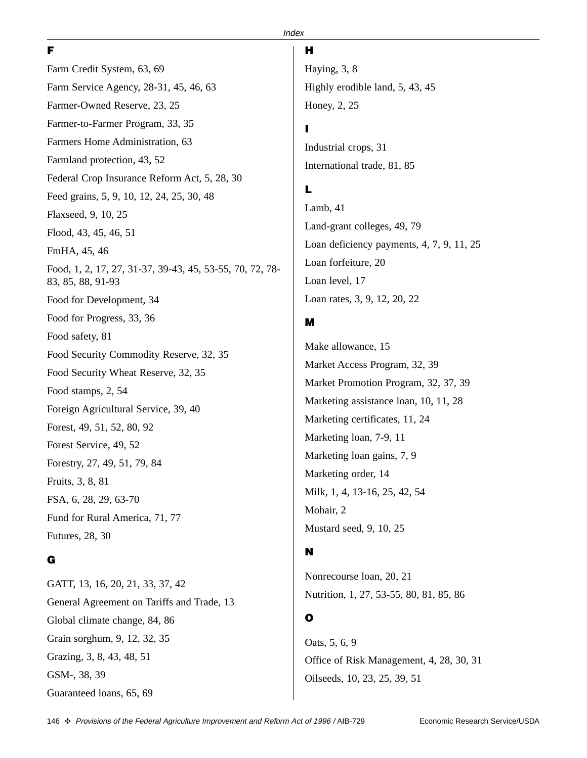#### **F**

#### **Index**

Farm Credit System, 63, 69 Farm Service Agency, 28-31, 45, 46, 63 Farmer-Owned Reserve, 23, 25 Farmer-to-Farmer Program, 33, 35 Farmers Home Administration, 63 Farmland protection, 43, 52 Federal Crop Insurance Reform Act, 5, 28, 30 Feed grains, 5, 9, 10, 12, 24, 25, 30, 48 Flaxseed, 9, 10, 25 Flood, 43, 45, 46, 51 FmHA, 45, 46 Food, 1, 2, 17, 27, 31-37, 39-43, 45, 53-55, 70, 72, 78- 83, 85, 88, 91-93 Food for Development, 34 Food for Progress, 33, 36 Food safety, 81 Food Security Commodity Reserve, 32, 35 Food Security Wheat Reserve, 32, 35 Food stamps, 2, 54 Foreign Agricultural Service, 39, 40 Forest, 49, 51, 52, 80, 92 Forest Service, 49, 52 Forestry, 27, 49, 51, 79, 84 Fruits, 3, 8, 81 FSA, 6, 28, 29, 63-70 Fund for Rural America, 71, 77

### **G**

Futures, 28, 30

GATT, 13, 16, 20, 21, 33, 37, 42 General Agreement on Tariffs and Trade, 13 Global climate change, 84, 86 Grain sorghum, 9, 12, 32, 35 Grazing, 3, 8, 43, 48, 51 GSM-, 38, 39 Guaranteed loans, 65, 69

#### **H**

Haying, 3, 8 Highly erodible land, 5, 43, 45 Honey, 2, 25

#### **I**

Industrial crops, 31 International trade, 81, 85

### **L**

Lamb, 41 Land-grant colleges, 49, 79 Loan deficiency payments, 4, 7, 9, 11, 25 Loan forfeiture, 20 Loan level, 17 Loan rates, 3, 9, 12, 20, 22

#### **M**

Make allowance, 15 Market Access Program, 32, 39 Market Promotion Program, 32, 37, 39 Marketing assistance loan, 10, 11, 28 Marketing certificates, 11, 24 Marketing loan, 7-9, 11 Marketing loan gains, 7, 9 Marketing order, 14 Milk, 1, 4, 13-16, 25, 42, 54 Mohair, 2 Mustard seed, 9, 10, 25

### **N**

Nonrecourse loan, 20, 21 Nutrition, 1, 27, 53-55, 80, 81, 85, 86

### **O**

Oats, 5, 6, 9 Office of Risk Management, 4, 28, 30, 31 Oilseeds, 10, 23, 25, 39, 51